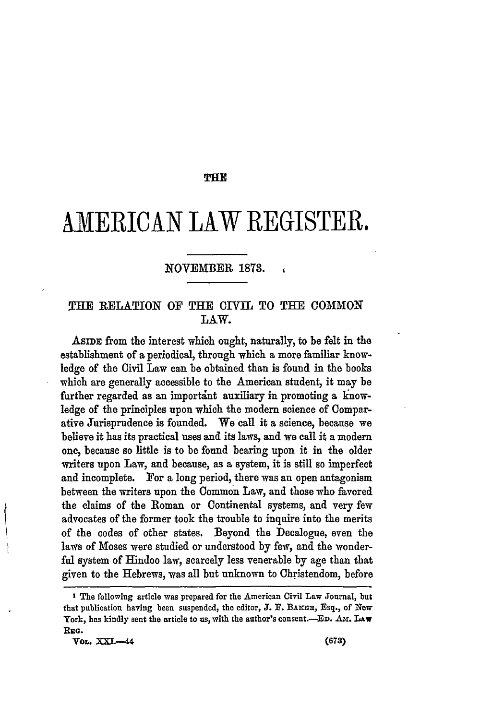## THE

## **AMERICAN** LAW REGISTER.

## NOVEMBER **1873. ,**

## **,THE** RELATION OF THE CIVIL TO THE COMMON LAW.

ASIDE from the interest which ought, naturally, to be felt in the establishment of a periodical, through which a more familiar knowledge of the Civil Law can be obtained than is found in the books which are generally accessible to the American student, it may be further regarded as an important auxiliary in promoting a knowledge of the principles upon which the modern science of Comparative Jurisprudence is founded. We call it a science, because we believe it has its practical uses and its laws, and we call it a modern one, because so little is to be found bearing upon it in the older writers upon Law, and because, as a system, it is still so imperfect and incomplete. For a long period, there was an open antagonism between the writers upon the Common Law, and those who favored the claims of the Roman or Continental systems, and very few advocates of the former took the trouble to inquire into the merits of the codes of other states. Beyond the Decalogue, even the laws of Moses were studied or understood **by** few, and the wonderful system of Hindoo law, scarcely less venerable **by** age than that given to the Hebrews, was all but unknown to Christendom, before

 $V$ OL.  $\overline{XXI}$ .  $-44$  (673)

I The following article was prepared for the American Civil Law Journal, but that publication having been suspended, the editor, **J. F. BARER,** Esq., of New York, has kindly sent the article to us, with the author's consent.--ED. AM. LAW REG.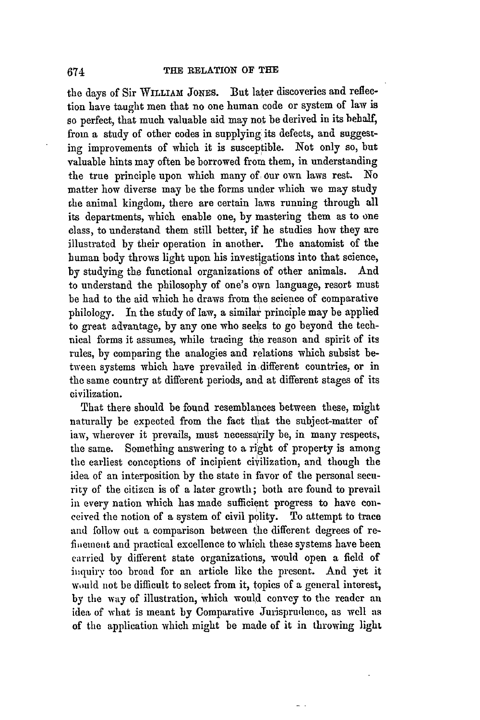the days of Sir WILLIAM **JoNES.** But later discoveries and reflection have taught men that no one human code or system of law is so perfect, that much valuable aid may not be derived in its behalf, from a study of other codes in supplying its defects, and suggesting improvements of which it is susceptible. Not only so, but valuable hints may often be borrowed from them, in understanding the true principle upon which many of our own laws rest. No matter how diverse may be the forms under which we may study che animal kingdom, there are certain laws running through all its departments, which enable one, by mastering them as to one class, to understand them still better, if he studies how they are illustrated by their operation in another. The anatomist of the human body throws light upon his investigations into that science, by studying the functional organizations of other animals. And to understand the philosophy of one's own language, resort must be had to the aid which he draws from the science of comparative philology. In the study of law, a similar principle may be applied to great advantage, **by** any one who seeks to go beyond the technical forms it assumes, while tracing the reason and spirit of its rules, by comparing the analogies and relations which subsist between systems which have prevailed in different countries, or in the same country at different periods, and at different stages of its civilization.

That there should be found resemblances between these, might naturally be expected from the fact that the subject-matter of iaw, wherever it prevails, must necessarily be, in many respects, the same. Something answering to a right of property is among the earliest conceptions of incipient civilization, and though the idea of an interposition **by** the state in favor of the personal security of the citizen is of a later growth; both are found to prevail in every nation which has made sufficient progress to have conceived the notion of a system of civil polity. To attempt to trace and follow out a comparison between the different degrees of refinement and practical excellence to which these systems have been carried by different state organizations, would open a field of inquiry too broad for an article like the present. And yet it would not be difficult to select from it, topics of a general interest, by the way of illustration, which would convey to the reader an idea of what is meant **by** Comparative Jurisprudence, as well as of the application which might be made of it in throwing light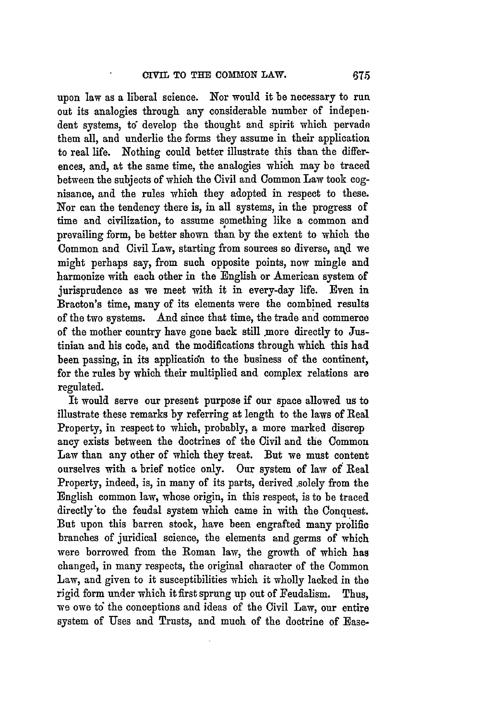upon law as a liberal science. Nor would it be necessary to run out its analogies through any considerable number of indepen. dent systems, to develop the thought and spirit which pervade them all, and underlie the forms they assume in their application to real life. Nothing could better illustrate this than the differences, and, at the same time, the analogies which may be traced between the subjects of which the Civil and Common Law took cognisance, and the rules which they adopted in respect to these. Nor can the tendency there is, in all systems, in the progress of time and civilization, to assume something like a common and prevailing form, be better shown than **by** the extent to which the Common and Civil Law, starting from sources so diverse, and we might perhaps say, from such opposite points, now mingle and harmonize with each other in the English or American system of jurisprudence as we meet with it in every-day life. Even in Bracton's time, many of its elements were the combined results of the two systems. And since that time, the trade and commerce of the mother country have gone back still more directly to Justinian and his code, and the modifications through which this had been passing, in its application to the business of the continent, for the rules by which their multiplied and complex relations are regulated.

It would serve our present purpose if our space allowed us to illustrate these remarks by referring at length to the laws of Real Property, in respect to which, probably, a more marked discrep ancy exists between the doctrines of the Civil and the Common Law than any other of which they treat. But we must content ourselves with a brief notice only. Our system of law of Real Property, indeed, is, in many of its parts, derived .solely from the English common law, whose origin, in this respect, is to be traced directly'to the feudal system which came in with the Conquest. But upon this barren stock, have been engrafted many prolific branches of juridical science, the elements and germs of which were borrowed from the Roman law, the growth of which has changed, in many respects, the original character of the Common Law, and given to it susceptibilities which it wholly lacked in the rigid form under which it first sprung up out of Feudalism. Thus, we owe to the conceptions and ideas of the Civil Law, our entire system of Uses and Trusts, and much of the doctrine of Ease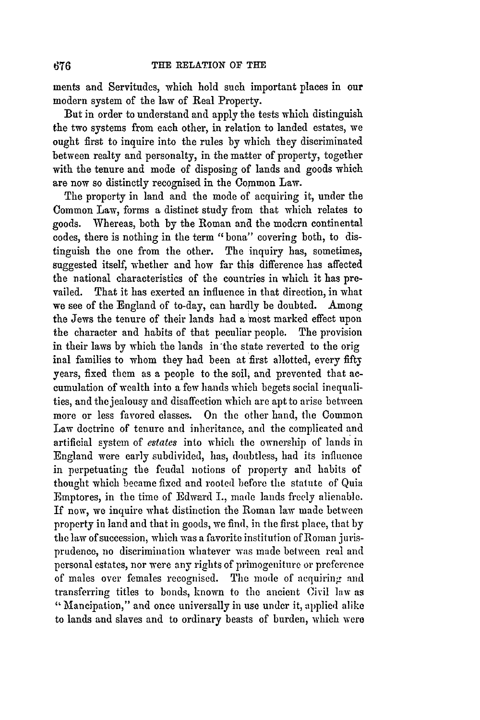ments and Servitudes, which hold such important places in our modern system of the law of Real Property.

But in order to understand and apply the tests which distinguish the two systems from each other, in relation to landed estates, we ought first to inquire into the rules by which they discriminated between realty and personalty, in the matter of property, together with the tenure and mode of disposing of lands and goods which are now so distinctly recognised in the Common Law.

The property in land and the mode of acquiring it, under the Common Law, forms a distinct study from that which relates to goods. Whereas, both by the Roman and the modern continental codes, there is nothing in the term "bona" covering both, to distinguish the one from the other. The inquiry has, sometimes, suggested itself, whether and how far this difference has affected the national characteristics of the countries in which it has prevailed. That it has exerted an influence in that direction, in what we see of the England of to-day, can hardly be doubted. Among the Jews the tenure of their lands had a most marked effect upon the character and habits of that peculiar people. The provision in their laws by which the lands in'the state reverted to the orig inal families to whom they had been at first allotted, every fifty years, fixed them as a people to the soil, and prevented that accumulation of wealth into a few hands which begets social inequalities, and the jealousy and disaffection which are apt to arise between more or less favored classes. On the other hand, the Common Law doctrine of tenure and inheritance, and the complicated and artificial system of estates into which the ownership of lands in England were early subdivided, has, doubtless, had its influence in perpetuating the feudal notions of property and habits of thought which became fixed and rooted before the statute of Quia Emptores, in the time of Edward I., made lands freely alienable. If now, we inquire what distinction the Roman law made between property in land and that in goods, we find, in the first place, that by the law of succession, which was a favorite institution of Roman jurisprudence, no discrimination whatever was made between real and personal estates, nor were any rights of primogeniture or preference of males over females recognised. The mode of acquiring and transferring titles to bonds, known to the ancient Civil law as "Mancipation," and once universally in use under it, applied alike to lands and slaves and to ordinary beasts of burden, which were

676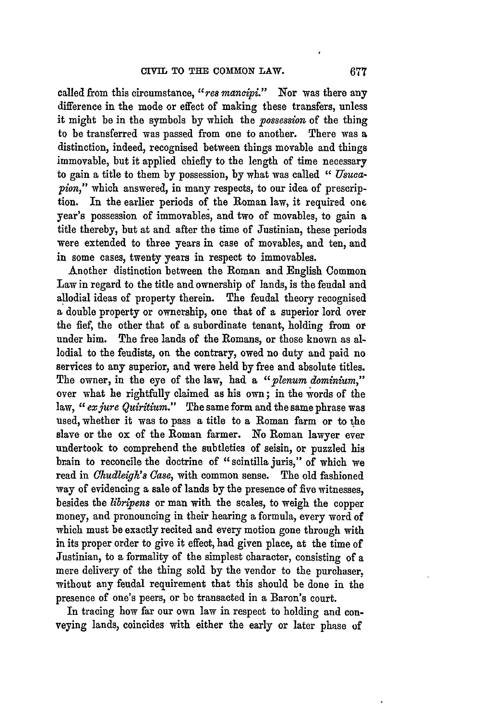called from this circumstance, "res mancipi." Nor was there any difference in the mode or effect of making these transfers, unless it might be in the symbols **by** which the *possession* of the thing to be transferred was passed from one to another. There was a distinction, indeed, recognised between things movable and things immovable, but it applied chiefly to the length of time necessary to gain a title to them by possession, by what was called "Usuca*pion,"* which answered, in many respects, to our idea of prescription. In the earlier periods of the Roman law, it required one year's possession of immovables, and two of movables, to gain a title thereby, but at and after the time of Justinian, these periods were extended to three years in case of movables, and ten, and in some cases, twenty years in respect to immovables.

Another distinction between the Roman and English Common Law in regard to the title and ownership of lands, is the feudal and allodial ideas of property therein. The feudal theory recognised a double property or ownership, one that of **a** superior lord over the fief, the other that of a subordinate tenant, holding from or under him. The free lands of the Romans, or those known as allodial to the feudists, on the contrary, owed no duty and paid no services to any superior, and were held **by** free and absolute titles. The owner, in the eye of the law, had a *"plenum dominium,"* over what he rightfully claimed as his own; in the words of the law, " ex jure Quiritium." The same form and the same phrase was used, whether it was to pass a title to a Roman farm or to the slave or the ox of the Roman farmer. No Roman lawyer ever undertook to comprehend the subtleties of seisin, or puzzled his brain to reconcile the doctrine of "scintilla juris," of which we read in *Chudleigh's Case*, with common sense. The old fashioned way of evidencing a sale of lands **by** the presence of five witnesses, besides the *libripens* or man with the scales, to weigh the copper money, and pronouncing in their hearing a formula, every word of which must be exactly recited and every motion gone through with in its proper order to give it effect, had given place, at the time of Justinian, to a formality of the simplest character, consisting of a mere delivery of the thing sold **by** the vendor to the purchaser. without any feudal requirement that this should be done in the presence of one's peers, or **be** transacted in a Baron's court.

In tracing how **far** our own law in respect to holding and conveying lands, coincides with either the early or later phase of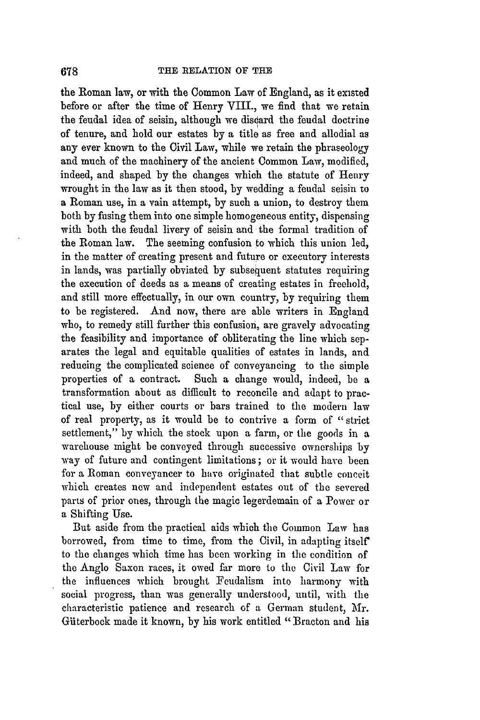the Roman law, or with the Common Law of England, as it existed before or after the time of Henry VIII., we find that we retain the feudal idea of seisin, although we discard the feudal doctrine of tenure, and hold our estates **by** a title as free and allodial as any ever known to the Civil Law, while we retain the phraseology and much of the machinery of the ancient Common Law, modified, indeed, and shaped by the changes which the statute of Henry wrought in the law as it then stood, by wedding a feudal seisin to a Roman use, in a vain attempt, **by** such a union, to destroy them both by fusing them into one simple homogeneous entity, dispensing with both the feudal livery of seisin and the formal tradition of the Roman law. The seeming confusion to which this union led, in the matter of creating present and future or executory interests in lands, was partially obviated by subsequent statutes requiring the execution of deeds as a means of creating estates in freehold, and still more effectually, in our own country, by requiring them to be registered. And now, there are able writers in England who, to remedy still further this confusion, are gravely advocating the feasibility and importance of obliterating the line which separates the legal and equitable qualities of estates in lands, and reducing the complicated science of conveyancing to the simple properties of a contract. Such a change would, indeed, be a transformation about as difficult to reconcile and adapt to practical use, by either courts or bars trained to the modern law of real property, as it would be to contrive a form of "strict settlement," by which the stock upon a farm, or the goods in a warehouse might be conveyed through successive ownerships by way of future and contingent limitations; or it would have been for a Roman conveyancer to have originated that subtle conceit which creates new and independent estates out of the severed parts of prior ones, through the magic legerdemain of a Power or a Shifting Use.

But aside from the practical aids which the Common Law has borrowed, from time to time, from the Civil, in adapting itself to the changes which time has been working in the condition of the Anglo Saxon races, it owed far more to the Civil Law for the influences which brought Feudalism into harmony with social progress, than was generally understood, until, with the characteristic patience and research of a German student, Mr. Güterbock made it known, by his work entitled "Bracton and his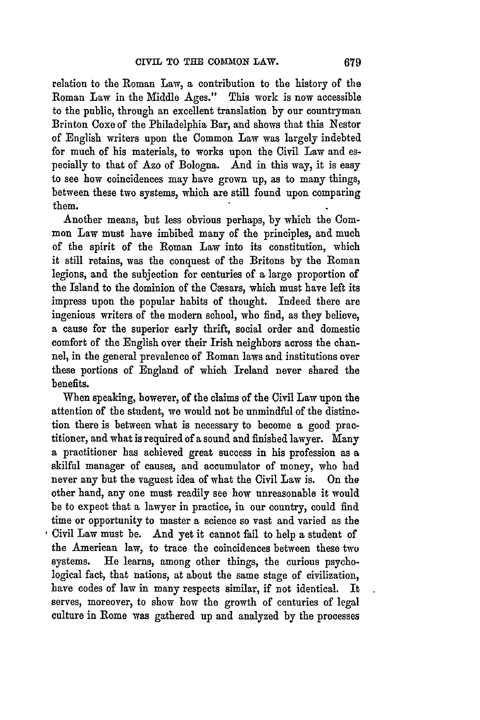relation to the Roman Law, a contribution to the history of the Roman Law in the Middle Ages." This work is now accessible to the public, through an excellent translation by our countryman Brinton Coxe of the Philadelphia Bar, and shows that this Nestor of English writers upon the Common Law was largely indebted for much of his materials, to works upon the Civil Law and especially to that of Azo of Bologna. And in this way, it is easy to see how coincidences may have grown up, as to many things, between these two systems, which are still found upon comparing them.

Another means, but less obvious perhaps, **by** which the Common Law must have imbibed many of the principles, and much of the spirit of the Roman Law into its constitution, which it still retains, was the conquest of the Britons **by** the Roman legions, and the subjection for centuries of **a** large proportion of the Island to the dominion of the Caesars, which must have left its impress upon the popular habits of thought. Indeed there are ingenious writers of the modern school, who find, as they believe, a cause for the superior early thrift, social order and domestic comfort of the English over their Irish neighbors across the channel, in the general prevalence of Roman laws and institutions over these portions of England of which Ireland never shared the benefits.

When speaking, however, of the claims of the Civil Law upon the attention of the student, we would not be unmindful of the distinction there is between what is necessary to become a good practitioner, and what is required of a sound and finished lawyer. Many a practitioner has achieved great success in his profession as a skilful manager of causes, and accumulator of money, who **had** never any but the vaguest idea of what the Civil Law is. On the other hand, any one must readily see how unreasonable it would be to expect that a lawyer in practice, in our country, could find time or opportunity to master a science so vast and varied as the Civil Law must be. And yet it cannot fail to help a student of the American law, to trace the coincidences between these two systems. He learns, among other things, the curious psychological fact, that nations, at about the same stage of civilization, have codes of law in many respects similar, if not identical. It serves, moreover, to show how the growth of centuries of legal culture in Rome was gathered up and analyzed **by** the processes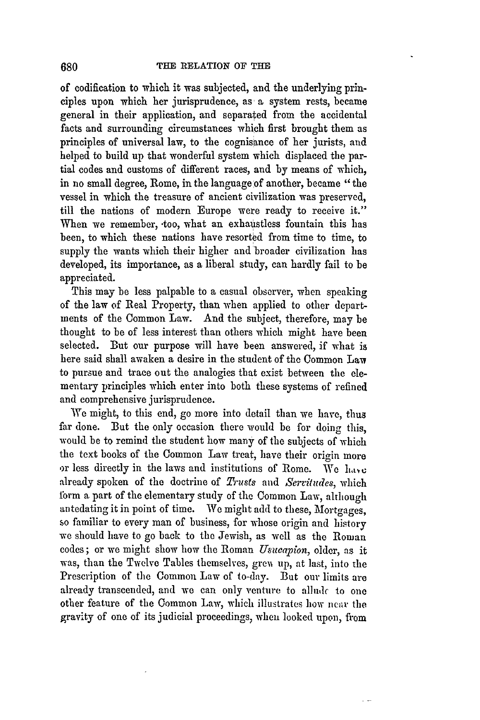of codification to which it was subjected, and the underlying principles upon which her jurisprudence, as a system rests, became general in their application, and separated from the accidental facts and surrounding circumstances which first brought them as principles of universal law, to the cognisance of her jurists, and helped to build up that wonderful system which displaced the partial codes and customs of different races, and by means of which, in no small degree, Rome, in the language of another, became "the vessel in which the treasure of ancient civilization was preserved, till the nations of modern Europe were ready to receive it." When we remember, too, what an exhaustless fountain this has been, to which these nations have resorted from time to time, to supply the wants which their higher and broader civilization has developed, its importance, as a liberal study, can hardly fail to be appreciated.

This may be less palpable to a casual observer, when speaking of the law of Real Property, than when applied to other departments of the Common Law. And the subject, therefore, may be thought to be of less interest than others which might have been selected. But our purpose will have been answered, if what is here said shall awaken a desire in the student of the Common Law to pursue and trace out the analogies that exist between the elementary principles which enter into both these systems of refined and comprehensive jurisprudence.

We might, to this end, go more into detail than we have, thus far done. But the only occasion there would be for doing this, would be to remind the student how many of the subjects of which the text books of the Common Law treat, have their origin more or less directly in the laws and institutions of Rome. We **ha,,** already spoken of the doctrine of *T'usts* and *Servitudes,* which form a part of the elementary study of the Common Law, although antedating it in point of time. We might add to these, Mortgages, so familiar to every man of business, for whose origin and history we should have to go back to the Jewish, as well as the Roman codes; or we might show how the Roman *Usucapion,* older, as it was, than the Twelve Tables themselves, gren up, at last, into the Prescription of the Common Law of to-day. But our limits are already transcended, and we can only venture to allude to one other feature of the Common Law, which illustrates how near the gravity of one of its judicial proceedings, when looked upon, from

680